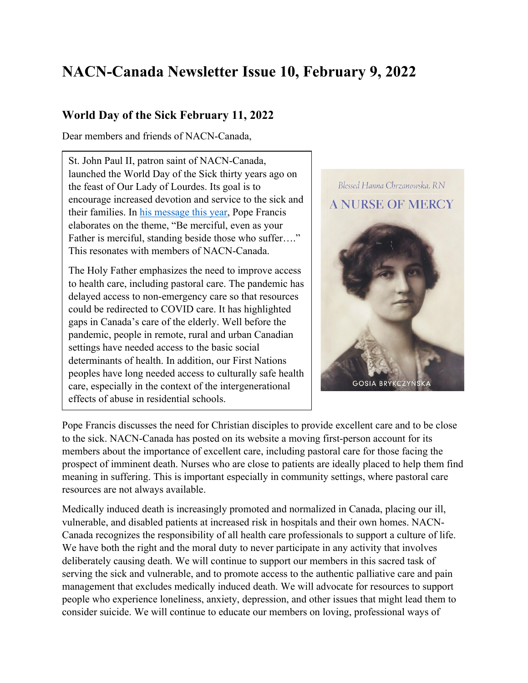# **NACN-Canada Newsletter Issue 10, February 9, 2022**

#### **World Day of the Sick February 11, 2022**

Dear members and friends of NACN-Canada,

St. John Paul II, patron saint of NACN-Canada, launched the World Day of the Sick thirty years ago on the feast of Our Lady of Lourdes. Its goal is to encourage increased devotion and service to the sick and their families. In his message this year, Pope Francis elaborates on the theme, "Be merciful, even as your Father is merciful, standing beside those who suffer...." This resonates with members of NACN-Canada.

The Holy Father emphasizes the need to improve access to health care, including pastoral care. The pandemic has delayed access to non-emergency care so that resources could be redirected to COVID care. It has highlighted gaps in Canada's care of the elderly. Well before the pandemic, people in remote, rural and urban Canadian settings have needed access to the basic social determinants of health. In addition, our First Nations peoples have long needed access to culturally safe health care, especially in the context of the intergenerational effects of abuse in residential schools.



Pope Francis discusses the need for Christian disciples to provide excellent care and to be close to the sick. NACN-Canada has posted on its website a moving first-person account for its members about the importance of excellent care, including pastoral care for those facing the prospect of imminent death. Nurses who are close to patients are ideally placed to help them find meaning in suffering. This is important especially in community settings, where pastoral care resources are not always available.

Medically induced death is increasingly promoted and normalized in Canada, placing our ill, vulnerable, and disabled patients at increased risk in hospitals and their own homes. NACN-Canada recognizes the responsibility of all health care professionals to support a culture of life. We have both the right and the moral duty to never participate in any activity that involves deliberately causing death. We will continue to support our members in this sacred task of serving the sick and vulnerable, and to promote access to the authentic palliative care and pain management that excludes medically induced death. We will advocate for resources to support people who experience loneliness, anxiety, depression, and other issues that might lead them to consider suicide. We will continue to educate our members on loving, professional ways of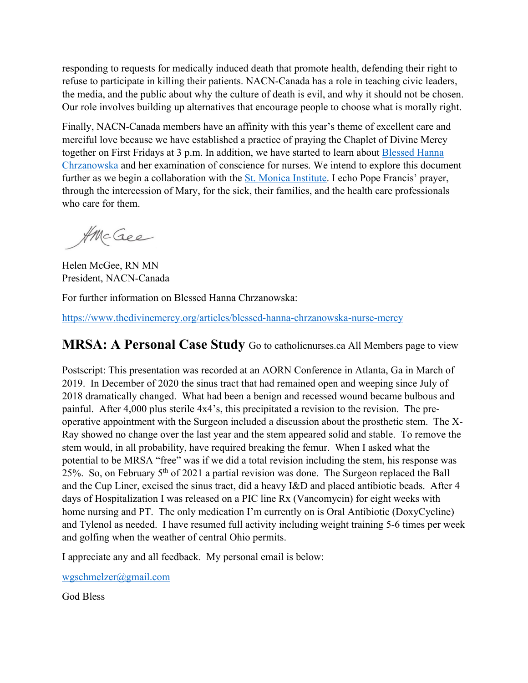responding to requests for medically induced death that promote health, defending their right to refuse to participate in killing their patients. NACN-Canada has a role in teaching civic leaders, the media, and the public about why the culture of death is evil, and why it should not be chosen. Our role involves building up alternatives that encourage people to choose what is morally right.

Finally, NACN-Canada members have an affinity with this year's theme of excellent care and merciful love because we have established a practice of praying the Chaplet of Divine Mercy together on First Fridays at 3 p.m. In addition, we have started to learn about Blessed Hanna Chrzanowska and her examination of conscience for nurses. We intend to explore this document further as we begin a collaboration with the St. Monica Institute. I echo Pope Francis' prayer, through the intercession of Mary, for the sick, their families, and the health care professionals who care for them.

AMcGee

Helen McGee, RN MN President, NACN-Canada

For further information on Blessed Hanna Chrzanowska:

https://www.thedivinemercy.org/articles/blessed-hanna-chrzanowska-nurse-mercy

### **MRSA: A Personal Case Study** Go to catholicnurses.ca All Members page to view

Postscript: This presentation was recorded at an AORN Conference in Atlanta, Ga in March of 2019. In December of 2020 the sinus tract that had remained open and weeping since July of 2018 dramatically changed. What had been a benign and recessed wound became bulbous and painful. After 4,000 plus sterile 4x4's, this precipitated a revision to the revision. The preoperative appointment with the Surgeon included a discussion about the prosthetic stem. The X-Ray showed no change over the last year and the stem appeared solid and stable. To remove the stem would, in all probability, have required breaking the femur. When I asked what the potential to be MRSA "free" was if we did a total revision including the stem, his response was 25%. So, on February 5th of 2021 a partial revision was done. The Surgeon replaced the Ball and the Cup Liner, excised the sinus tract, did a heavy I&D and placed antibiotic beads. After 4 days of Hospitalization I was released on a PIC line Rx (Vancomycin) for eight weeks with home nursing and PT. The only medication I'm currently on is Oral Antibiotic (DoxyCycline) and Tylenol as needed. I have resumed full activity including weight training 5-6 times per week and golfing when the weather of central Ohio permits.

I appreciate any and all feedback. My personal email is below:

wgschmelzer@gmail.com

God Bless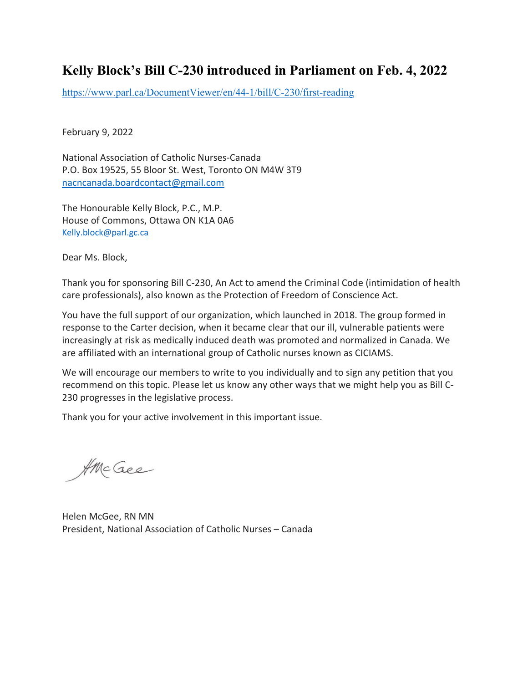## **Kelly Block's Bill C-230 introduced in Parliament on Feb. 4, 2022**

https://www.parl.ca/DocumentViewer/en/44-1/bill/C-230/first-reading

February 9, 2022

National Association of Catholic Nurses-Canada P.O. Box 19525, 55 Bloor St. West, Toronto ON M4W 3T9 nacncanada.boardcontact@gmail.com

The Honourable Kelly Block, P.C., M.P. House of Commons, Ottawa ON K1A 0A6 Kelly.block@parl.gc.ca

Dear Ms. Block,

Thank you for sponsoring Bill C-230, An Act to amend the Criminal Code (intimidation of health care professionals), also known as the Protection of Freedom of Conscience Act.

You have the full support of our organization, which launched in 2018. The group formed in response to the Carter decision, when it became clear that our ill, vulnerable patients were increasingly at risk as medically induced death was promoted and normalized in Canada. We are affiliated with an international group of Catholic nurses known as CICIAMS.

We will encourage our members to write to you individually and to sign any petition that you recommend on this topic. Please let us know any other ways that we might help you as Bill C-230 progresses in the legislative process.

Thank you for your active involvement in this important issue.

AMcGee

Helen McGee, RN MN President, National Association of Catholic Nurses – Canada